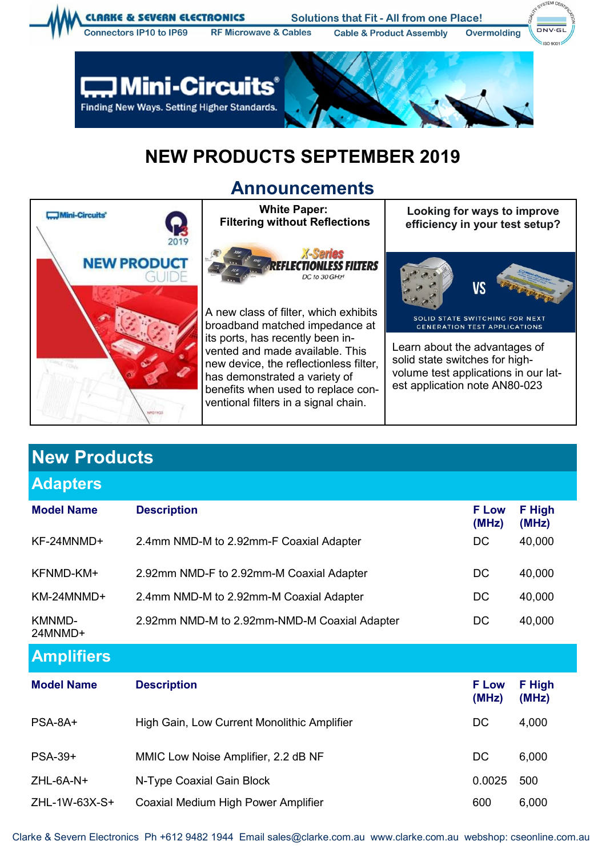

## **NEW PRODUCTS SEPTEMBER 2019**

## **Announcements**



| <b>New Products</b>      |                                              |                       |                 |  |  |  |
|--------------------------|----------------------------------------------|-----------------------|-----------------|--|--|--|
| <b>Adapters</b>          |                                              |                       |                 |  |  |  |
| <b>Model Name</b>        | <b>Description</b>                           | <b>F Low</b><br>(MHz) | F High<br>(MHz) |  |  |  |
| KF-24MNMD+               | 2.4mm NMD-M to 2.92mm-F Coaxial Adapter      | DC                    | 40,000          |  |  |  |
| KFNMD-KM+                | 2.92mm NMD-F to 2.92mm-M Coaxial Adapter     | DC                    | 40,000          |  |  |  |
| KM-24MNMD+               | 2.4mm NMD-M to 2.92mm-M Coaxial Adapter      | DC                    | 40,000          |  |  |  |
| <b>KMNMD-</b><br>24MNMD+ | 2.92mm NMD-M to 2.92mm-NMD-M Coaxial Adapter | DC                    | 40,000          |  |  |  |
| <b>Amplifiers</b>        |                                              |                       |                 |  |  |  |
| <b>Model Name</b>        | <b>Description</b>                           | <b>F</b> Low<br>(MHz) | F High<br>(MHz) |  |  |  |
| PSA-8A+                  | High Gain, Low Current Monolithic Amplifier  | DC                    | 4,000           |  |  |  |
| <b>PSA-39+</b>           | MMIC Low Noise Amplifier, 2.2 dB NF          | <b>DC</b>             | 6,000           |  |  |  |
| $ZHL$ -6A-N+             | N-Type Coaxial Gain Block                    | 0.0025                | 500             |  |  |  |
| ZHL-1W-63X-S+            | Coaxial Medium High Power Amplifier          | 600                   | 6,000           |  |  |  |

Clarke & Severn Electronics Ph +612 9482 1944 Email sales@clarke.com.au www.clarke.com.au webshop: cseonline.com.au